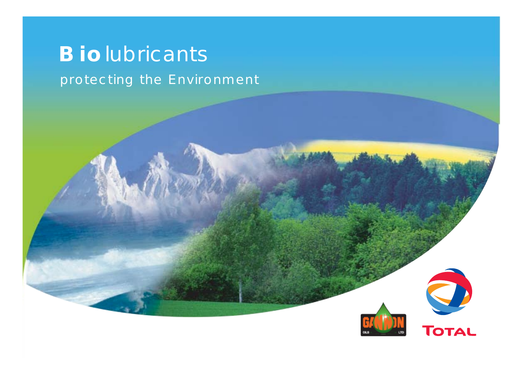# **Bio**lubricants

### protecting the Environment

O TOTAL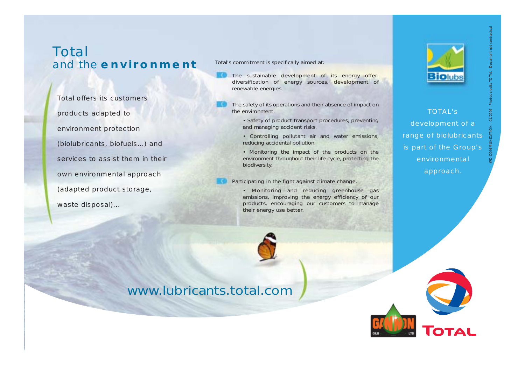### Total and the **environment**

COMMUNICATION TO THE SUSTAINS COMMUNICATION CONTRACT CONTRACT CONTRACT CONTRACT CONTRACT CONTRACT CONTRACT CONTRACT CONTRACT CONTRACT CONTRACT CONTRACT CONTRACT CONTRACT CONTRACT CONTRACT CONTRACT CONTRACT CONTRACT CONTRAC own environmental approach (adapted product storage, waste disposal)...

Total's commitment is specifically aimed at:

- The sustainable development of its energy offer: diversification of energy sources, development of renewable energies.
- The safety of its operations and their absence of impact on the environment.
	- *Safety of product transport procedures, preventing and managing accident risks.*
	- *Controlling pollutant air and water emissions, reducing accidental pollution.*
	- *Monitoring the impact of the products on the environment throughout their life cycle, protecting the biodiversity.*
- Participating in the fight against climate change.
	- *Monitoring and reducing greenhouse gas emissions, improving the energy efficiency of our products, encouraging our customers to manage their energy use better.*



### www.lubricants.total.com



TOTAL's development of a range of biolubricants is part of the Group's environmental approach.

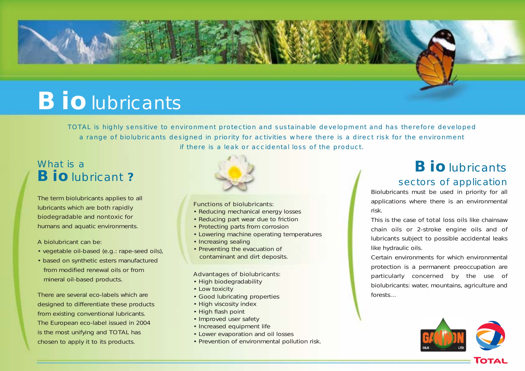

# **Bio**lubricants

TOTAL is highly sensitive to environment protection and sustainable development and has therefore developed a range of biolubricants designed in priority for activities where there is a direct risk for the environment if there is a leak or accidental loss of the product.

### What is a **Bio**lubricant **?**

The term *biolubricants* applies to all lubricants which are both rapidly biodegradable and nontoxic for humans and aquatic environments.

#### A *biolubricant* can be:

- vegetable oil-based (e.g.: rape-seed oils),
- based on synthetic esters manufactured from modified renewal oils or from mineral oil-based products.

There are several eco-labels which are designed to differentiate these products from existing conventional lubricants. The European eco-label issued in 2004 is the most unifying and TOTAL has chosen to apply it to its products.



#### Functions of biolubricants:

- Reducing mechanical energy losses
- Reducing part wear due to friction
- Protecting parts from corrosion
- Lowering machine operating temperatures
- Increasing sealing
- Preventing the evacuation of contaminant and dirt deposits.

#### Advantages of biolubricants:

- High biodegradability
- Low toxicity
- Good lubricating properties
- High viscosity index
- High flash point
- Improved user safety
- Increased equipment life
- Lower evaporation and oil losses
- Prevention of environmental pollution risk.

### **Bio**lubricants

#### sectors of application

Biolubricants must be used in priority for all applications where there is an environmental risk.

This is the case of *total loss oils* like chainsaw chain oils or 2-stroke engine oils and of *lubricants subject to possible accidental leaks* like hydraulic oils.

Certain environments for which environmental protection is a permanent preoccupation are particularly concerned by the use of biolubricants: water, mountains, agriculture and forests…



Тота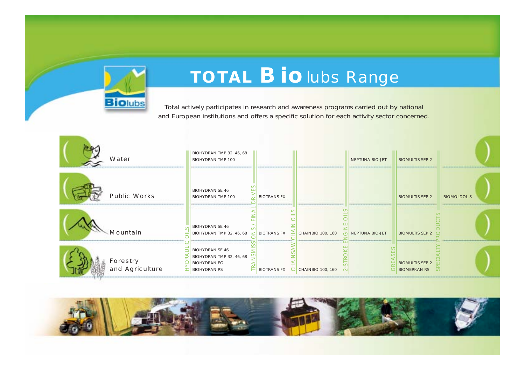

# **TOTAL Bio**lubs Range

Total actively participates in research and awareness programs carried out by national and European institutions and offers a specific solution for each activity sector concerned.

| Water                       | BIOHYDRAN TMP 32, 46, 68<br><b>BIOHYDRAN TMP 100</b>                                             |                          |                          | <b>NEPTUNA BIO-JET</b> | <b>BIOMULTIS SEP 2</b>                        |                    |
|-----------------------------|--------------------------------------------------------------------------------------------------|--------------------------|--------------------------|------------------------|-----------------------------------------------|--------------------|
| <b>Public Works</b>         | <b>BIOHYDRAN SE 46</b><br><b>BIOHYDRAN TMP 100</b>                                               | <b>BIOTRANS FX</b>       |                          |                        | <b>BIOMULTIS SEP 2</b>                        | <b>BIOMOLDOL S</b> |
| Mountain                    | <b>BIOHYDRAN SE 46</b><br>BIOHYDRAN TMP 32, 46, 68                                               | <b>BIOTRANS FX</b>       | <b>CHAINBIO 100, 160</b> | <b>NEPTUNA BIO-JET</b> | <b>BIOMULTIS SEP 2</b>                        |                    |
| Forestry<br>and Agriculture | <b>BIOHYDRAN SE 46</b><br>BIOHYDRAN TMP 32, 46, 68<br><b>BIOHYDRAN FG</b><br><b>BIOHYDRAN RS</b> | <b>BIOTRANS FX</b><br>٠, | <b>CHAINBIO 100, 160</b> | $\overline{C}$         | <b>BIOMULTIS SEP 2</b><br><b>BIOMERKAN RS</b> |                    |

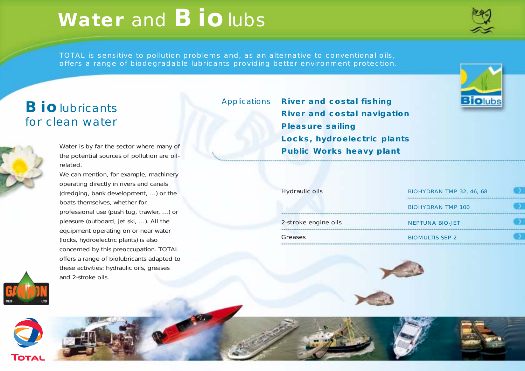# **Water** and **Bio**lubs

TOTAL is sensitive to pollution problems and, as an alternative to conventional oils, offers a range of biodegradable lubricants providing better environment protection.

### **Bio**lubricants for clean water



Water is by far the sector where many of the potential sources of pollution are oilrelated.

We can mention, for example, machinery operating directly in rivers and canals (dredging, bank development, …) or the boats themselves, whether for professional use (push tug, trawler, …) or pleasure (outboard, jet ski, …). All the equipment operating on or near water (locks, hydroelectric plants) is also concerned by this preoccupation. TOTAL offers a range of biolubricants adapted to these activities: hydraulic oils, greases and 2-stroke oils.



Applications **River and costal fishing River and costal navigation Pleasure sailing Locks, hydroelectric plants Public Works heavy plant**

| <b>Hydraulic oils</b> | BIOHYDRAN TMP 32, 46, 68<br> |  |  |
|-----------------------|------------------------------|--|--|
|                       | <b>BIOHYDRAN TMP 100</b>     |  |  |
| 2-stroke engine oils  | <b>NEPTUNA BIO-JET</b>       |  |  |
| Greases               | <b>BIOMULTIS SEP 2</b>       |  |  |









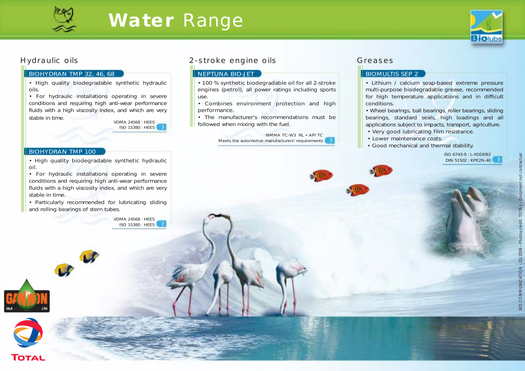

## **Water** Range



#### Hydraulic oils

#### BIOHYDRAN TMP 32, 46, 68

• High quality biodegradable synthetic hydraulic oils.

• For hydraulic installations operating in severe conditions and requiring high anti-wear performance fluids with a high viscosity index, and which are very stable in time.

VDMA 24568 : HEES ISO 15380 : HEES

#### BIOHYDRAN TMP 100

• High quality biodegradable synthetic hydraulic oil.

• For hydraulic installations operating in severe conditions and requiring high anti-wear performance fluids with a high viscosity index, and which are very stable in time.

• Particularly recommended for lubricating sliding and rolling bearings of stern tubes.

> VDMA 24568 : HEES ISO 15380 : HEES

#### 2-stroke engine oils

#### **NEPTUNA BIO-JET**

• 100 % synthetic biodegradable oil for all 2-stroke engines (petrol), all power ratings including sports use.

• Combines environment protection and high performance.

• The manufacturer's recommendations must be followed when mixing with the fuel.

> NMMA TC-W3 RL • API TC Meets the automotive manufacturers' requirements

#### Greases

#### **BIOMULTIS SEP 2**

• Lithium / calcium soap-based extreme pressure multi-purpose biodegradable grease, recommended for high temperature applications and in difficult conditions.

• Wheel bearings, ball bearings, roller bearings, sliding bearings, standard seals, high loadings and all applications subject to impacts, transport, agriculture.

- Very good lubricating film resistance.
- Lower maintenance costs.
- Good mechanical and thermal stability.

ISO 6743-9 : L-XDDEB2 DIN 51502 : KPE2N-40



**TOTAL**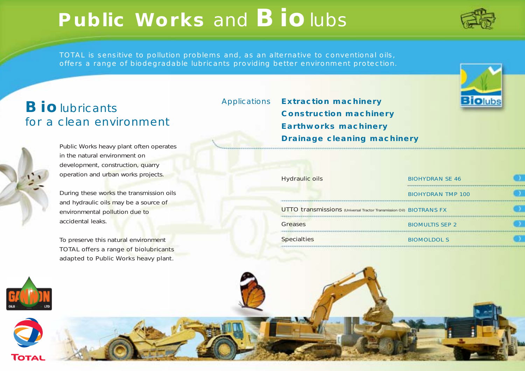# **Public Works** and **Bio**lubs



TOTAL is sensitive to pollution problems and, as an alternative to conventional oils, offers a range of biodegradable lubricants providing better environment protection.

### **Bio**lubricants for a clean environment



Public Works heavy plant often operates in the natural environment on development, construction, quarry operation and urban works projects.

During these works the transmission oils and hydraulic oils may be a source of environmental pollution due to accidental leaks.

To preserve this natural environment TOTAL offers a range of biolubricants adapted to Public Works heavy plant. Applications **Extraction machinery Construction machinery Earthworks machinery Drainage cleaning machinery**

| Hydraulic oils                                                                    | <b>BIOHYDRAN SE 46</b>   |  |  |
|-----------------------------------------------------------------------------------|--------------------------|--|--|
|                                                                                   | <b>BIOHYDRAN TMP 100</b> |  |  |
| <b>UTTO transmissions</b> (Universal Tractor Transmission Oil) <b>BIOTRANS FX</b> |                          |  |  |
| <b>Greases</b>                                                                    | <b>BIOMULTIS SEP 2</b>   |  |  |
| <b>Specialties</b>                                                                | <b>BIOMOLDOL S</b>       |  |  |





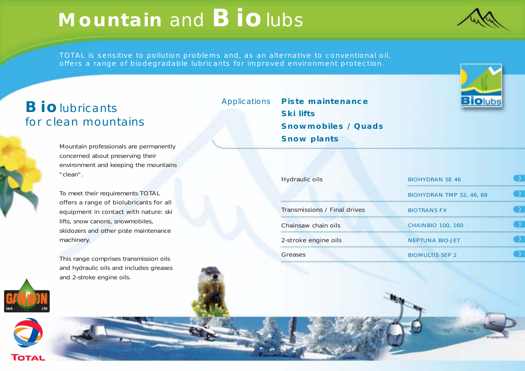# **Mountain** and **Bio**lubs

TOTAL is sensitive to pollution problems and, as an alternative to conventional oil, offers a range of biodegradable lubricants for improved environment protection.

### **Bio**lubricants for clean mountains

Mountain professionals are permanently concerned about preserving their environment and keeping the mountains "clean".

To meet their requirements TOTAL offers a range of biolubricants for all equipment in contact with nature: ski lifts, snow canons, snowmobiles, skidozers and other piste maintenance machinery.

This range comprises transmission oils and hydraulic oils and includes greases and 2-stroke engine oils.

Applications **Piste maintenance Ski lifts Snowmobiles / Quads Snow plants**



| <b>Hydraulic oils</b>               | <b>BIOHYDRAN SE 46</b>   |  |  |
|-------------------------------------|--------------------------|--|--|
|                                     | BIOHYDRAN TMP 32, 46, 68 |  |  |
| <b>Transmissions / Final drives</b> | <b>BIOTRANS FX</b>       |  |  |
| Chainsaw chain oils                 | <b>CHAINBIO 100, 160</b> |  |  |
| 2-stroke engine oils                | <b>NEPTUNA BIO-JET</b>   |  |  |
| Greases                             | <b>BIOMULTIS SEP 2</b>   |  |  |



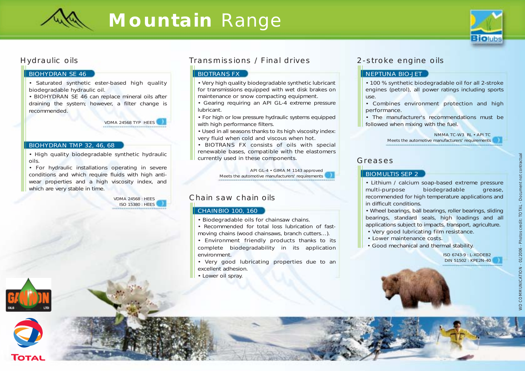

## **Mountain** Range



#### Hydraulic oils

#### BIOHYDRAN SE 46

• Saturated synthetic ester-based high quality biodegradable hydraulic oil.

• BIOHYDRAN SE 46 can replace mineral oils after draining the system; however, a filter change is recommended.

> VDMA 24568 TYP HEES ------------------------------

#### BIOHYDRAN TMP 32, 46, 68

• High quality biodegradable synthetic hydraulic oils.

• For hydraulic installations operating in severe conditions and which require fluids with high antiwear properties and a high viscosity index, and which are very stable in time.

> VDMA 24568 : HEES ISO 15380 : HEES





#### Transmissions / Final drives

#### **BIOTRANS FX**

• Very high quality biodegradable synthetic lubricant for transmissions equipped with wet disk brakes on maintenance or snow compacting equipment.

• Gearing requiring an API GL-4 extreme pressure lubricant.

• For high or low pressure hydraulic systems equipped with high performance filters.

• Used in all seasons thanks to its high viscosity index: very fluid when cold and viscous when hot.

• BIOTRANS FX consists of oils with special renewable bases, compatible with the elastomers currently used in these components.

> API GL-4 • GIMA M 1143 approved Meets the automotive manufacturers' requirements

#### Chain saw chain oils

#### CHAINBIO 100, 160

- Biodegradable oils for chainsaw chains.
- Recommended for total loss lubrication of fastmoving chains (wood chainsaws, branch cutters…).
- Environment friendly products thanks to its complete biodegradability in its application environment.

• Very good lubricating properties due to an excellent adhesion.

• Lower oil spray.

#### 2-stroke engine oils

#### NEPTUNA BIO-JET

• 100 % synthetic biodegradable oil for all 2-stroke engines (petrol), all power ratings including sports use.

• Combines environment protection and high performance.

• The manufacturer's recommendations must be followed when mixing with the fuel.

> NMMA TC-W3 RL • API TC Meets the automotive manufacturers' requirements

#### Greases

#### BIOMULTIS SEP 2

• Lithium / calcium soap-based extreme pressure multi-purpose biodegradable grease, recommended for high temperature applications and in difficult conditions.

• Wheel bearings, ball bearings, roller bearings, sliding bearings, standard seals, high loadings and all applications subject to impacts, transport, agriculture.

- Very good lubricating film resistance.
- Lower maintenance costs.
- Good mechanical and thermal stability.

ISO 6743-9 : L-XDDEB2 DIN 51502 : KPE2N-40



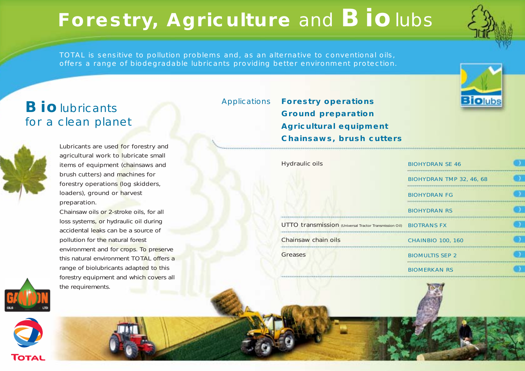# **Forestry, Agriculture** and **Bio**lubs



**Biolubs** 

TOTAL is sensitive to pollution problems and, as an alternative to conventional oils, offers a range of biodegradable lubricants providing better environment protection.

### **Bio**lubricants for a clean planet



Lubricants are used for forestry and agricultural work to lubricate small items of equipment (chainsaws and brush cutters) and machines for forestry operations (log skidders, loaders), ground or harvest preparation.

Chainsaw oils or 2-stroke oils, for all loss systems, or hydraulic oil during accidental leaks can be a source of pollution for the natural forest environment and for crops. To preserve this natural environment TOTAL offers a range of biolubricants adapted to this forestry equipment and which covers all the requirements.

Applications **Forestry operations Ground preparation Agricultural equipment Chainsaws, brush cutters**

Hydraulic oils

BIOHYDRAN SE 46 BIOHYDRAN TMP 32, 46, 68 ...................................... BIOHYDRAN FG BIOHYDRAN RS UTTO transmission (Universal Tractor Transmission Oil) BIOTRANS FX Chainsaw chain oils CHAINBIO 100, 160 **Greases** BIOMULTIS SEP 2 BIOMERKAN RS